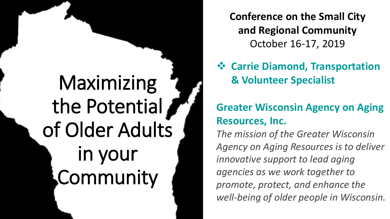# Maximizing the Potential of Older Adults in your Community

**Conference on the Small City and Regional Community** October 16-17, 2019

 **Carrie Diamond, Transportation & Volunteer Specialist**

### **Greater Wisconsin Agency on Aging Resources, Inc.**

*The mission of the Greater Wisconsin Agency on Aging Resources is to deliver innovative support to lead aging agencies as we work together to promote, protect, and enhance the well-being of older people in Wisconsin.*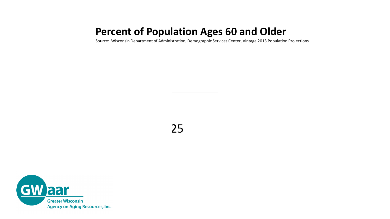### **Percent of Population Ages 60 and Older**

Source: Wisconsin Department of Administration, Demographic Services Center, Vintage 2013 Population Projections

25 and  $25$ 

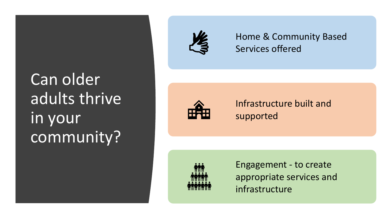# Can older adults thrive in your community?



Home & Community Based Services offered



Infrastructure built and supported



Engagement - to create appropriate services and infrastructure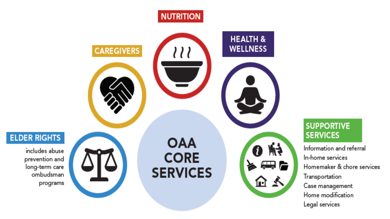

#### **SUPPORTIVE SERVICES**

Information and referral In-home services Homemaker & chore services Transportation Case management Home modification Legal services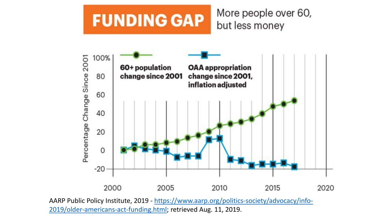#### More people over 60, **FUNDING GAP** but less money



AARP Public Policy Institute, 2019 - https://www.aarp.org/politics-society/advocacy/info-[2019/older-americans-act-funding.html; retrieved Aug. 11, 2019.](https://www.aarp.org/politics-society/advocacy/info-2019/older-americans-act-funding.html)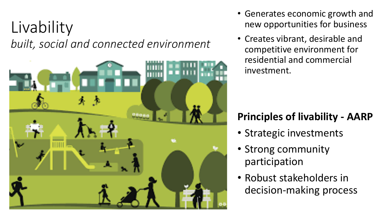## Livability *built, social and connected environment*



- Generates economic growth and new opportunities for business
- Creates vibrant, desirable and competitive environment for residential and commercial investment.

## **Principles of livability - AARP**

- Strategic investments
- Strong community participation
- Robust stakeholders in decision-making process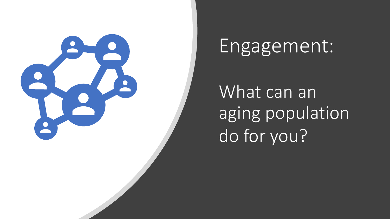

# Engagement:

What can an aging population do for you?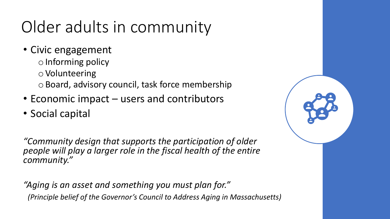## Older adults in community

- Civic engagement
	- o Informing policy
	- o Volunteering
	- o Board, advisory council, task force membership
- Economic impact users and contributors
- Social capital

*"Community design that supports the participation of older people will play a larger role in the fiscal health of the entire community."* 

*"Aging is an asset and something you must plan for." (Principle belief of the Governor's Council to Address Aging in Massachusetts)*